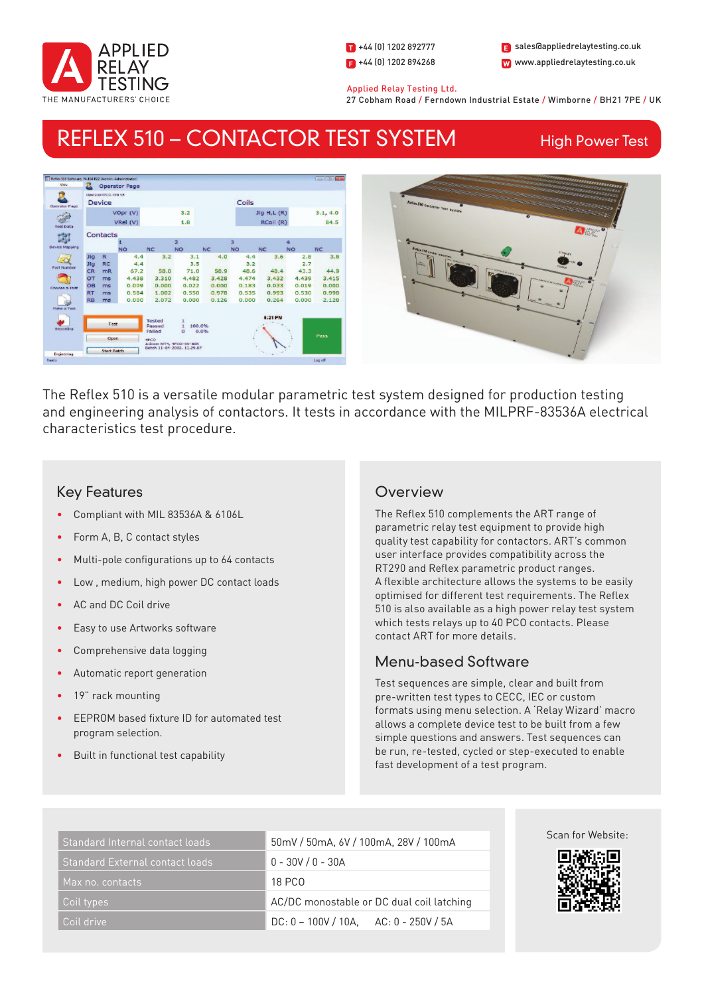

1 +44 (0) 1202 892777  $\Box$  +44 (0) 1202 894268

W www.appliedrelaytesting.co.uk sales@appliedrelaytesting.co.uk

 Applied Relay Testing Ltd. 27 Cobham Road / Ferndown Industrial Estate / Wimborne / BH21 7PE / UK

# REFLEX 510 – CONTACTOR TEST SYSTEM

High Power Test





The Reflex 510 is a versatile modular parametric test system designed for production testing and engineering analysis of contactors. It tests in accordance with the MILPRF-83536A electrical characteristics test procedure.

# Key Features

- Compliant with MIL 83536A & 6106L
- Form A, B, C contact styles
- Multi-pole configurations up to 64 contacts
- Low, medium, high power DC contact loads
- AC and DC Coil drive
- Easy to use Artworks software
- Comprehensive data logging
- Automatic report generation
- 19" rack mounting
- EEPROM based fixture ID for automated test program selection.
- Built in functional test capability

# **Overview**

The Reflex 510 complements the ART range of parametric relay test equipment to provide high quality test capability for contactors. ART's common user interface provides compatibility across the RT290 and Reflex parametric product ranges. A flexible architecture allows the systems to be easily optimised for different test requirements. The Reflex 510 is also available as a high power relay test system which tests relays up to 40 PCO contacts. Please contact ART for more details.

## Menu-based Software

Test sequences are simple, clear and built from pre-written test types to CECC, IEC or custom formats using menu selection. A 'Relay Wizard' macro allows a complete device test to be built from a few simple questions and answers. Test sequences can be run, re-tested, cycled or step-executed to enable fast development of a test program.

| Standard Internal contact loads | 50mV / 50mA, 6V / 100mA, 28V / 100mA       |
|---------------------------------|--------------------------------------------|
| Standard External contact loads | $0 - 30V / 0 - 30A$                        |
| Max no. contacts                | <b>18 PCO</b>                              |
| Coil types                      | AC/DC monostable or DC dual coil latching  |
| Coil drive                      | $DC: 0 - 100V / 10A$ , $AC: 0 - 250V / 5A$ |

Scan for Website: